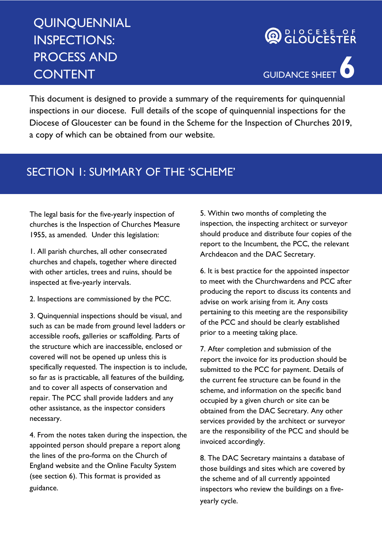## **QUINQUENNIAL** INSPECTIONS: PROCESS AND CONTENT

# **AD BLOCESE OF**



This document is designed to provide a summary of the requirements for quinquennial inspections in our diocese. Full details of the scope of quinquennial inspections for the Diocese of Gloucester can be found in the Scheme for the Inspection of Churches 2019, a copy of which can be obtained from our website.

#### SECTION 1: SUMMARY OF THE 'SCHEME'

The legal basis for the five-yearly inspection of churches is the Inspection of Churches Measure 1955, as amended. Under this legislation:

1. All parish churches, all other consecrated churches and chapels, together where directed with other articles, trees and ruins, should be inspected at five-yearly intervals.

2. Inspections are commissioned by the PCC.

3. Quinquennial inspections should be visual, and such as can be made from ground level ladders or accessible roofs, galleries or scaffolding. Parts of the structure which are inaccessible, enclosed or covered will not be opened up unless this is specifically requested. The inspection is to include, so far as is practicable, all features of the building, and to cover all aspects of conservation and repair. The PCC shall provide ladders and any other assistance, as the inspector considers necessary.

4. From the notes taken during the inspection, the appointed person should prepare a report along the lines of the pro-forma on the Church of England website and the Online Faculty System (see section 6). This format is provided as guidance.

5. Within two months of completing the inspection, the inspecting architect or surveyor should produce and distribute four copies of the report to the Incumbent, the PCC, the relevant Archdeacon and the DAC Secretary.

6. It is best practice for the appointed inspector to meet with the Churchwardens and PCC after producing the report to discuss its contents and advise on work arising from it. Any costs pertaining to this meeting are the responsibility of the PCC and should be clearly established prior to a meeting taking place.

7. After completion and submission of the report the invoice for its production should be submitted to the PCC for payment. Details of the current fee structure can be found in the scheme, and information on the specific band occupied by a given church or site can be obtained from the DAC Secretary. Any other services provided by the architect or surveyor are the responsibility of the PCC and should be invoiced accordingly.

8. The DAC Secretary maintains a database of those buildings and sites which are covered by the scheme and of all currently appointed inspectors who review the buildings on a fiveyearly cycle.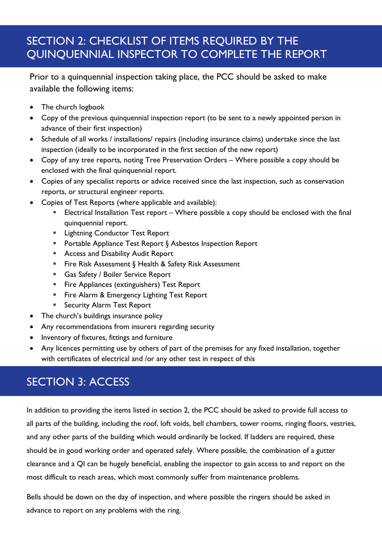### SECTION 2: CHECKLIST OF ITEMS REQUIRED BY THE QUINQUENNIAL INSPECTOR TO COMPLETE THE REPORT

Prior to a quinquennial inspection taking place, the PCC should be asked to make available the following items:

- The church logbook
- Copy of the previous quinquennial inspection report (to be sent to a newly appointed person in advance of their first inspection)
- Schedule of all works / installations/ repairs (including insurance claims) undertake since the last inspection (ideally to be incorporated in the first section of the new report)
- Copy of any tree reports, noting Tree Preservation Orders Where possible a copy should be enclosed with the final quinquennial report.
- Copies of any specialist reports or advice received since the last inspection, such as conservation reports, or structural engineer reports.
- Copies of Test Reports (where applicable and available):
	- Electrical Installation Test report Where possible a copy should be enclosed with the final quinquennial report.
	- **Lightning Conductor Test Report**
	- Portable Appliance Test Report § Asbestos Inspection Report
	- **Access and Disability Audit Report**
	- Fire Risk Assessment § Health & Safety Risk Assessment
	- **Gas Safety / Boiler Service Report**
	- **Fire Appliances (extinguishers) Test Report**
	- **Fire Alarm & Emergency Lighting Test Report**
	- **Security Alarm Test Report**
- The church's buildings insurance policy
- Any recommendations from insurers regarding security
- Inventory of fixtures, fittings and furniture
- Any licences permitting use by others of part of the premises for any fixed installation, together with certificates of electrical and /or any other test in respect of this

## SECTION 3: ACCESS

In addition to providing the items listed in section 2, the PCC should be asked to provide full access to all parts of the building, including the roof, loft voids, bell chambers, tower rooms, ringing floors, vestries, and any other parts of the building which would ordinarily be locked. If ladders are required, these should be in good working order and operated safely. Where possible, the combination of a gutter clearance and a QI can be hugely beneficial, enabling the inspector to gain access to and report on the most difficult to reach areas, which most commonly suffer from maintenance problems.

Bells should be down on the day of inspection, and where possible the ringers should be asked in advance to report on any problems with the ring.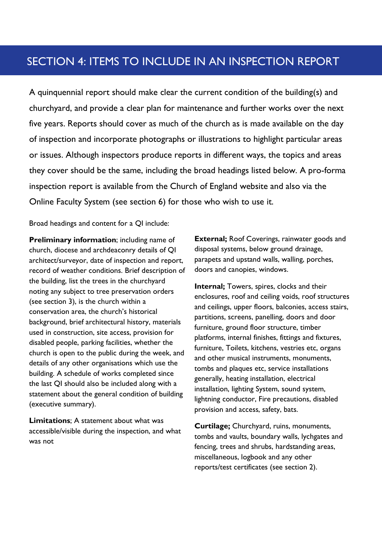#### SECTION 4: ITEMS TO INCLUDE IN AN INSPECTION REPORT

A quinquennial report should make clear the current condition of the building(s) and churchyard, and provide a clear plan for maintenance and further works over the next five years. Reports should cover as much of the church as is made available on the day of inspection and incorporate photographs or illustrations to highlight particular areas or issues. Although inspectors produce reports in different ways, the topics and areas they cover should be the same, including the broad headings listed below. A pro-forma inspection report is available from the Church of England website and also via the Online Faculty System (see section 6) for those who wish to use it.

Broad headings and content for a QI include:

Preliminary information; including name of church, diocese and archdeaconry details of QI architect/surveyor, date of inspection and report, record of weather conditions. Brief description of the building, list the trees in the churchyard noting any subject to tree preservation orders (see section 3), is the church within a conservation area, the church's historical background, brief architectural history, materials used in construction, site access, provision for disabled people, parking facilities, whether the church is open to the public during the week, and details of any other organisations which use the building. A schedule of works completed since the last QI should also be included along with a statement about the general condition of building (executive summary).

Limitations; A statement about what was accessible/visible during the inspection, and what was not

External; Roof Coverings, rainwater goods and disposal systems, below ground drainage, parapets and upstand walls, walling, porches, doors and canopies, windows.

Internal; Towers, spires, clocks and their enclosures, roof and ceiling voids, roof structures and ceilings, upper floors, balconies, access stairs, partitions, screens, panelling, doors and door furniture, ground floor structure, timber platforms, internal finishes, fittings and fixtures, furniture, Toilets, kitchens, vestries etc, organs and other musical instruments, monuments, tombs and plaques etc, service installations generally, heating installation, electrical installation, lighting System, sound system, lightning conductor, Fire precautions, disabled provision and access, safety, bats.

Curtilage; Churchyard, ruins, monuments, tombs and vaults, boundary walls, lychgates and fencing, trees and shrubs, hardstanding areas, miscellaneous, logbook and any other reports/test certificates (see section 2).